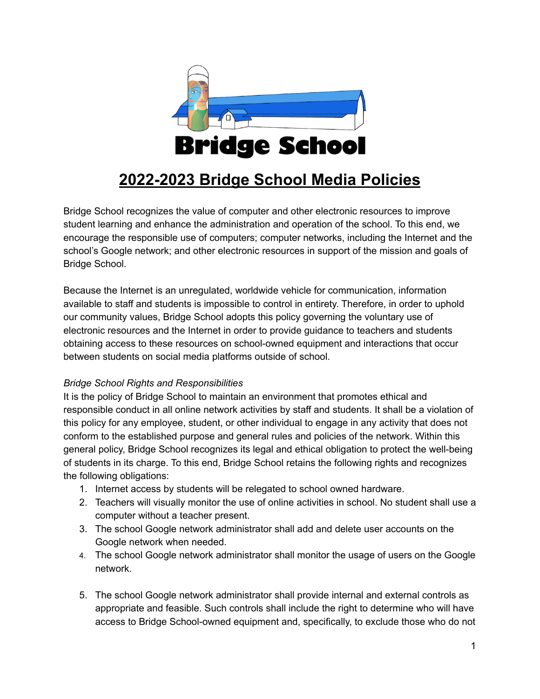

# **2022-2023 Bridge School Media Policies**

Bridge School recognizes the value of computer and other electronic resources to improve student learning and enhance the administration and operation of the school. To this end, we encourage the responsible use of computers; computer networks, including the Internet and the school's Google network; and other electronic resources in support of the mission and goals of Bridge School.

Because the Internet is an unregulated, worldwide vehicle for communication, information available to staff and students is impossible to control in entirety. Therefore, in order to uphold our community values, Bridge School adopts this policy governing the voluntary use of electronic resources and the Internet in order to provide guidance to teachers and students obtaining access to these resources on school-owned equipment and interactions that occur between students on social media platforms outside of school.

#### *Bridge School Rights and Responsibilities*

It is the policy of Bridge School to maintain an environment that promotes ethical and responsible conduct in all online network activities by staff and students. It shall be a violation of this policy for any employee, student, or other individual to engage in any activity that does not conform to the established purpose and general rules and policies of the network. Within this general policy, Bridge School recognizes its legal and ethical obligation to protect the well-being of students in its charge. To this end, Bridge School retains the following rights and recognizes the following obligations:

- 1. Internet access by students will be relegated to school owned hardware.
- 2. Teachers will visually monitor the use of online activities in school. No student shall use a computer without a teacher present.
- 3. The school Google network administrator shall add and delete user accounts on the Google network when needed.
- 4. The school Google network administrator shall monitor the usage of users on the Google network.
- 5. The school Google network administrator shall provide internal and external controls as appropriate and feasible. Such controls shall include the right to determine who will have access to Bridge School-owned equipment and, specifically, to exclude those who do not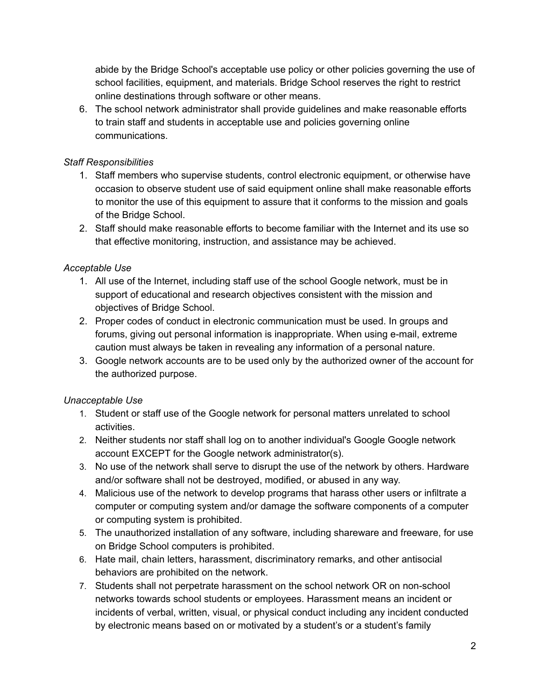abide by the Bridge School's acceptable use policy or other policies governing the use of school facilities, equipment, and materials. Bridge School reserves the right to restrict online destinations through software or other means.

6. The school network administrator shall provide guidelines and make reasonable efforts to train staff and students in acceptable use and policies governing online communications.

#### *Staff Responsibilities*

- 1. Staff members who supervise students, control electronic equipment, or otherwise have occasion to observe student use of said equipment online shall make reasonable efforts to monitor the use of this equipment to assure that it conforms to the mission and goals of the Bridge School.
- 2. Staff should make reasonable efforts to become familiar with the Internet and its use so that effective monitoring, instruction, and assistance may be achieved.

## *Acceptable Use*

- 1. All use of the Internet, including staff use of the school Google network, must be in support of educational and research objectives consistent with the mission and objectives of Bridge School.
- 2. Proper codes of conduct in electronic communication must be used. In groups and forums, giving out personal information is inappropriate. When using e-mail, extreme caution must always be taken in revealing any information of a personal nature.
- 3. Google network accounts are to be used only by the authorized owner of the account for the authorized purpose.

## *Unacceptable Use*

- 1. Student or staff use of the Google network for personal matters unrelated to school activities.
- 2. Neither students nor staff shall log on to another individual's Google Google network account EXCEPT for the Google network administrator(s).
- 3. No use of the network shall serve to disrupt the use of the network by others. Hardware and/or software shall not be destroyed, modified, or abused in any way.
- 4. Malicious use of the network to develop programs that harass other users or infiltrate a computer or computing system and/or damage the software components of a computer or computing system is prohibited.
- 5. The unauthorized installation of any software, including shareware and freeware, for use on Bridge School computers is prohibited.
- 6. Hate mail, chain letters, harassment, discriminatory remarks, and other antisocial behaviors are prohibited on the network.
- 7. Students shall not perpetrate harassment on the school network OR on non-school networks towards school students or employees. Harassment means an incident or incidents of verbal, written, visual, or physical conduct including any incident conducted by electronic means based on or motivated by a student's or a student's family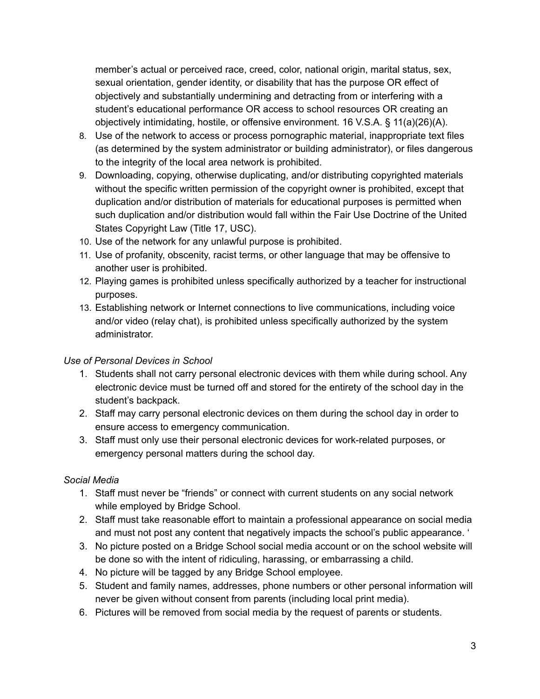member's actual or perceived race, creed, color, national origin, marital status, sex, sexual orientation, gender identity, or disability that has the purpose OR effect of objectively and substantially undermining and detracting from or interfering with a student's educational performance OR access to school resources OR creating an objectively intimidating, hostile, or offensive environment. 16 V.S.A. § 11(a)(26)(A).

- 8. Use of the network to access or process pornographic material, inappropriate text files (as determined by the system administrator or building administrator), or files dangerous to the integrity of the local area network is prohibited.
- 9. Downloading, copying, otherwise duplicating, and/or distributing copyrighted materials without the specific written permission of the copyright owner is prohibited, except that duplication and/or distribution of materials for educational purposes is permitted when such duplication and/or distribution would fall within the Fair Use Doctrine of the United States Copyright Law (Title 17, USC).
- 10. Use of the network for any unlawful purpose is prohibited.
- 11. Use of profanity, obscenity, racist terms, or other language that may be offensive to another user is prohibited.
- 12. Playing games is prohibited unless specifically authorized by a teacher for instructional purposes.
- 13. Establishing network or Internet connections to live communications, including voice and/or video (relay chat), is prohibited unless specifically authorized by the system administrator.

#### *Use of Personal Devices in School*

- 1. Students shall not carry personal electronic devices with them while during school. Any electronic device must be turned off and stored for the entirety of the school day in the student's backpack.
- 2. Staff may carry personal electronic devices on them during the school day in order to ensure access to emergency communication.
- 3. Staff must only use their personal electronic devices for work-related purposes, or emergency personal matters during the school day.

## *Social Media*

- 1. Staff must never be "friends" or connect with current students on any social network while employed by Bridge School.
- 2. Staff must take reasonable effort to maintain a professional appearance on social media and must not post any content that negatively impacts the school's public appearance. '
- 3. No picture posted on a Bridge School social media account or on the school website will be done so with the intent of ridiculing, harassing, or embarrassing a child.
- 4. No picture will be tagged by any Bridge School employee.
- 5. Student and family names, addresses, phone numbers or other personal information will never be given without consent from parents (including local print media).
- 6. Pictures will be removed from social media by the request of parents or students.